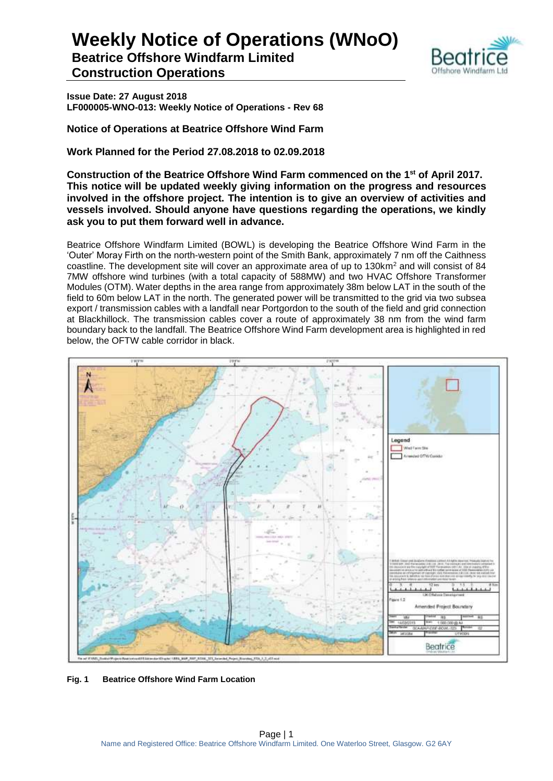**Beatrice Offshore Windfarm Limited Construction Operations**



**Issue Date: 27 August 2018 LF000005-WNO-013: Weekly Notice of Operations - Rev 68**

**Notice of Operations at Beatrice Offshore Wind Farm**

**Work Planned for the Period 27.08.2018 to 02.09.2018**

**Construction of the Beatrice Offshore Wind Farm commenced on the 1 st of April 2017. This notice will be updated weekly giving information on the progress and resources involved in the offshore project. The intention is to give an overview of activities and vessels involved. Should anyone have questions regarding the operations, we kindly ask you to put them forward well in advance.** 

Beatrice Offshore Windfarm Limited (BOWL) is developing the Beatrice Offshore Wind Farm in the 'Outer' Moray Firth on the north-western point of the Smith Bank, approximately 7 nm off the Caithness coastline. The development site will cover an approximate area of up to 130km<sup>2</sup> and will consist of 84 7MW offshore wind turbines (with a total capacity of 588MW) and two HVAC Offshore Transformer Modules (OTM). Water depths in the area range from approximately 38m below LAT in the south of the field to 60m below LAT in the north. The generated power will be transmitted to the grid via two subsea export / transmission cables with a landfall near Portgordon to the south of the field and grid connection at Blackhillock. The transmission cables cover a route of approximately 38 nm from the wind farm boundary back to the landfall. The Beatrice Offshore Wind Farm development area is highlighted in red below, the OFTW cable corridor in black.



**Fig. 1 Beatrice Offshore Wind Farm Location**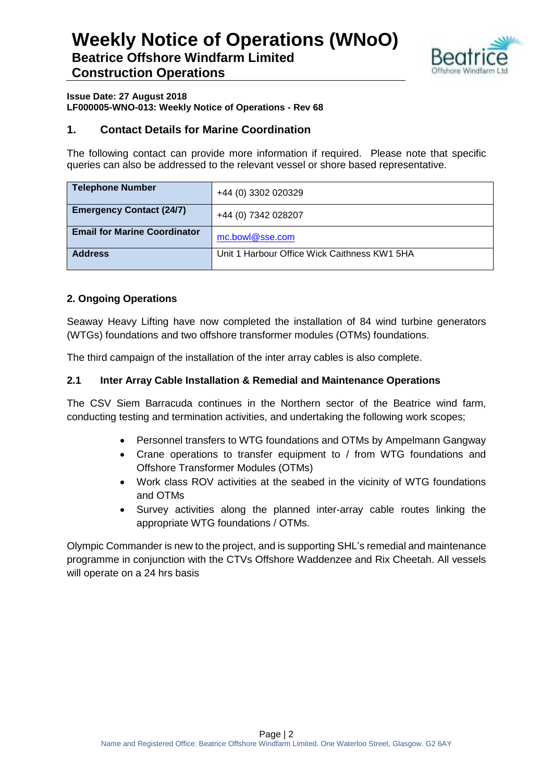

### **Issue Date: 27 August 2018 LF000005-WNO-013: Weekly Notice of Operations - Rev 68**

### **1. Contact Details for Marine Coordination**

The following contact can provide more information if required. Please note that specific queries can also be addressed to the relevant vessel or shore based representative.

| <b>Telephone Number</b>             | +44 (0) 3302 020329                          |
|-------------------------------------|----------------------------------------------|
| <b>Emergency Contact (24/7)</b>     | +44 (0) 7342 028207                          |
| <b>Email for Marine Coordinator</b> | mc.bowl@sse.com                              |
| <b>Address</b>                      | Unit 1 Harbour Office Wick Caithness KW1 5HA |

### **2. Ongoing Operations**

Seaway Heavy Lifting have now completed the installation of 84 wind turbine generators (WTGs) foundations and two offshore transformer modules (OTMs) foundations.

The third campaign of the installation of the inter array cables is also complete.

### **2.1 Inter Array Cable Installation & Remedial and Maintenance Operations**

The CSV Siem Barracuda continues in the Northern sector of the Beatrice wind farm, conducting testing and termination activities, and undertaking the following work scopes;

- Personnel transfers to WTG foundations and OTMs by Ampelmann Gangway
- Crane operations to transfer equipment to / from WTG foundations and Offshore Transformer Modules (OTMs)
- Work class ROV activities at the seabed in the vicinity of WTG foundations and OTMs
- Survey activities along the planned inter-array cable routes linking the appropriate WTG foundations / OTMs.

Olympic Commander is new to the project, and is supporting SHL's remedial and maintenance programme in conjunction with the CTVs Offshore Waddenzee and Rix Cheetah. All vessels will operate on a 24 hrs basis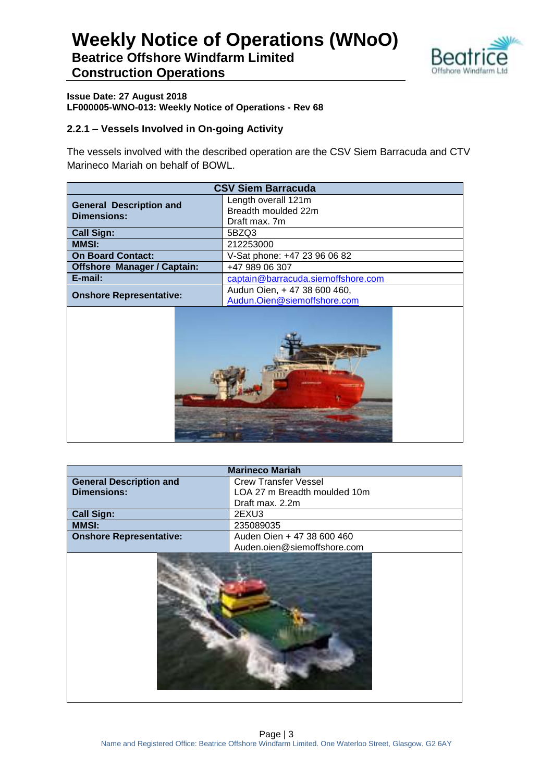

**Beatrice Offshore Windfarm Limited Construction Operations**

### **Issue Date: 27 August 2018 LF000005-WNO-013: Weekly Notice of Operations - Rev 68**

### **2.2.1 – Vessels Involved in On-going Activity**

The vessels involved with the described operation are the CSV Siem Barracuda and CTV Marineco Mariah on behalf of BOWL.

| <b>CSV Siem Barracuda</b>                                      |                                            |  |
|----------------------------------------------------------------|--------------------------------------------|--|
| <b>General Description and</b>                                 | Length overall 121m<br>Breadth moulded 22m |  |
| <b>Dimensions:</b>                                             | Draft max. 7m                              |  |
| <b>Call Sign:</b>                                              | 5BZQ3                                      |  |
| <b>MMSI:</b>                                                   | 212253000                                  |  |
| <b>On Board Contact:</b>                                       | V-Sat phone: +47 23 96 06 82               |  |
| <b>Offshore Manager / Captain:</b><br>+47 989 06 307           |                                            |  |
| E-mail:<br>captain@barracuda.siemoffshore.com                  |                                            |  |
| Audun Oien, + 47 38 600 460,<br><b>Onshore Representative:</b> |                                            |  |
| Audun.Oien@siemoffshore.com                                    |                                            |  |

| <b>Marineco Mariah</b>         |                              |
|--------------------------------|------------------------------|
| <b>General Description and</b> | <b>Crew Transfer Vessel</b>  |
| <b>Dimensions:</b>             | LOA 27 m Breadth moulded 10m |
|                                | Draft max. 2.2m              |
| <b>Call Sign:</b>              | 2EXU3                        |
| <b>MMSI:</b>                   | 235089035                    |
| <b>Onshore Representative:</b> | Auden Oien + 47 38 600 460   |
|                                | Auden.oien@siemoffshore.com  |
|                                |                              |

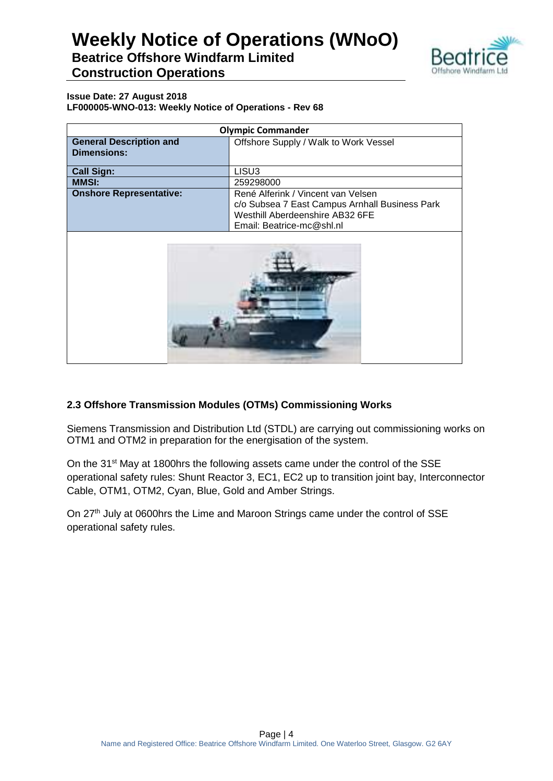### **Weekly Notice of Operations (WNoO) Beatrice Offshore Windfarm Limited**



## **Construction Operations**

#### **Issue Date: 27 August 2018 LF000005-WNO-013: Weekly Notice of Operations - Rev 68**

| <b>Olympic Commander</b>       |                                                |  |
|--------------------------------|------------------------------------------------|--|
| <b>General Description and</b> | Offshore Supply / Walk to Work Vessel          |  |
| <b>Dimensions:</b>             |                                                |  |
|                                |                                                |  |
| <b>Call Sign:</b>              | LISU <sub>3</sub>                              |  |
| <b>MMSI:</b>                   | 259298000                                      |  |
| <b>Onshore Representative:</b> | René Alferink / Vincent van Velsen             |  |
|                                | c/o Subsea 7 East Campus Arnhall Business Park |  |
|                                | Westhill Aberdeenshire AB32 6FE                |  |
|                                | Email: Beatrice-mc@shl.nl                      |  |
|                                |                                                |  |
|                                |                                                |  |

### **2.3 Offshore Transmission Modules (OTMs) Commissioning Works**

Siemens Transmission and Distribution Ltd (STDL) are carrying out commissioning works on OTM1 and OTM2 in preparation for the energisation of the system.

On the 31<sup>st</sup> May at 1800hrs the following assets came under the control of the SSE operational safety rules: Shunt Reactor 3, EC1, EC2 up to transition joint bay, Interconnector Cable, OTM1, OTM2, Cyan, Blue, Gold and Amber Strings.

On 27<sup>th</sup> July at 0600hrs the Lime and Maroon Strings came under the control of SSE operational safety rules.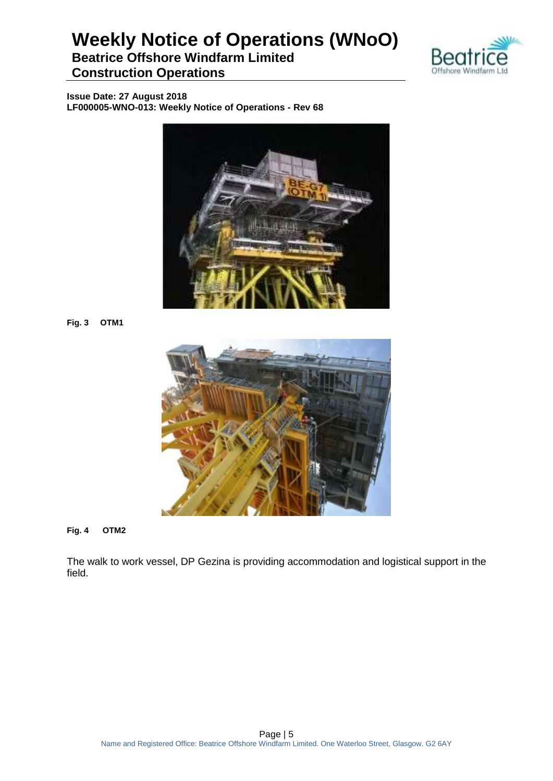### **Beatrice Offshore Windfarm Limited Construction Operations**



**Issue Date: 27 August 2018 LF000005-WNO-013: Weekly Notice of Operations - Rev 68**



**Fig. 3 OTM1**



**Fig. 4 OTM2**

The walk to work vessel, DP Gezina is providing accommodation and logistical support in the field.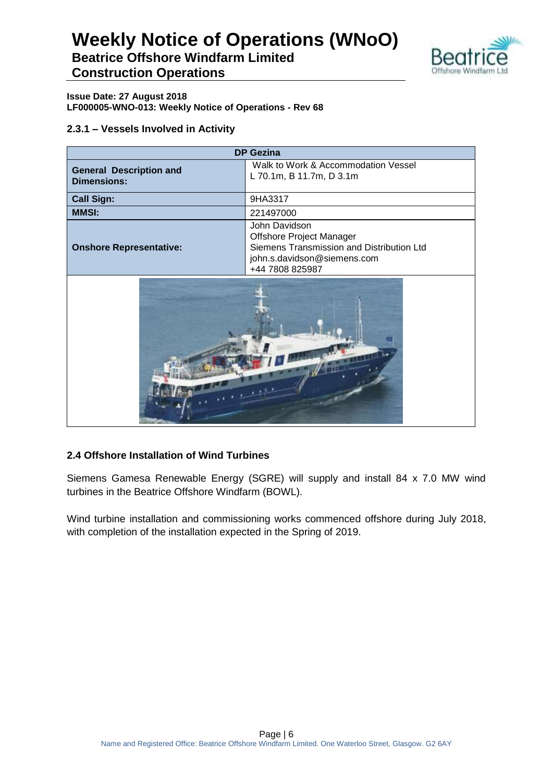

**Beatrice Offshore Windfarm Limited Construction Operations**

### **Issue Date: 27 August 2018 LF000005-WNO-013: Weekly Notice of Operations - Rev 68**

### **2.3.1 – Vessels Involved in Activity**

| <b>DP Gezina</b>                                     |                                                                                                                                                 |  |
|------------------------------------------------------|-------------------------------------------------------------------------------------------------------------------------------------------------|--|
| <b>General Description and</b><br><b>Dimensions:</b> | Walk to Work & Accommodation Vessel<br>L 70.1m, B 11.7m, D 3.1m                                                                                 |  |
| <b>Call Sign:</b>                                    | 9HA3317                                                                                                                                         |  |
| <b>MMSI:</b>                                         | 221497000                                                                                                                                       |  |
| <b>Onshore Representative:</b>                       | John Davidson<br><b>Offshore Project Manager</b><br>Siemens Transmission and Distribution Ltd<br>john.s.davidson@siemens.com<br>+44 7808 825987 |  |
|                                                      |                                                                                                                                                 |  |



### **2.4 Offshore Installation of Wind Turbines**

Siemens Gamesa Renewable Energy (SGRE) will supply and install 84 x 7.0 MW wind turbines in the Beatrice Offshore Windfarm (BOWL).

Wind turbine installation and commissioning works commenced offshore during July 2018, with completion of the installation expected in the Spring of 2019.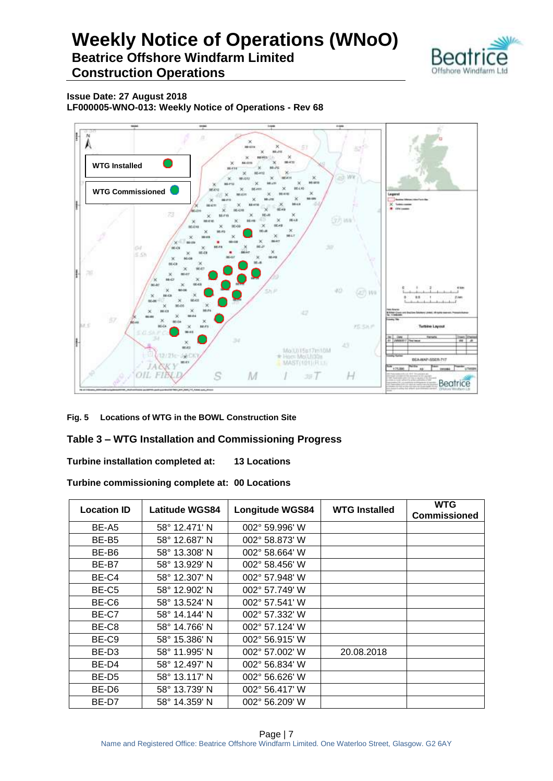### **Weekly Notice of Operations (WNoO) Beatrice Offshore Windfarm Limited**



**Construction Operations**

**Issue Date: 27 August 2018 LF000005-WNO-013: Weekly Notice of Operations - Rev 68**



**Fig. 5 Locations of WTG in the BOWL Construction Site**

### **Table 3 – WTG Installation and Commissioning Progress**

**Turbine installation completed at: 13 Locations**

**Turbine commissioning complete at: 00 Locations**

| <b>Location ID</b> | Latitude WGS84 | <b>Longitude WGS84</b>  | <b>WTG Installed</b> | <b>WTG</b><br><b>Commissioned</b> |
|--------------------|----------------|-------------------------|----------------------|-----------------------------------|
| BE-A5              | 58° 12.471' N  | $002^{\circ}$ 59.996' W |                      |                                   |
| BE-B <sub>5</sub>  | 58° 12.687' N  | 002° 58.873' W          |                      |                                   |
| BE-B6              | 58° 13.308' N  | 002° 58.664' W          |                      |                                   |
| BE-B7              | 58° 13.929' N  | $002^{\circ}$ 58.456' W |                      |                                   |
| BE-C4              | 58° 12.307' N  | 002° 57.948' W          |                      |                                   |
| BE-C <sub>5</sub>  | 58° 12.902' N  | 002° 57.749' W          |                      |                                   |
| BE-C6              | 58° 13.524' N  | 002° 57.541' W          |                      |                                   |
| BE-C7              | 58° 14.144' N  | $002^{\circ}$ 57.332' W |                      |                                   |
| BE-C8              | 58° 14.766' N  | 002° 57.124' W          |                      |                                   |
| BE-C9              | 58° 15.386' N  | 002° 56.915' W          |                      |                                   |
| BE-D3              | 58° 11.995' N  | $002^{\circ}$ 57.002' W | 20.08.2018           |                                   |
| BE-D4              | 58° 12.497' N  | 002° 56.834' W          |                      |                                   |
| BE-D5              | 58° 13.117' N  | $002^{\circ}$ 56.626' W |                      |                                   |
| BE-D6              | 58° 13.739' N  | 002° 56.417' W          |                      |                                   |
| BE-D7              | 58° 14.359' N  | $002^{\circ}$ 56.209' W |                      |                                   |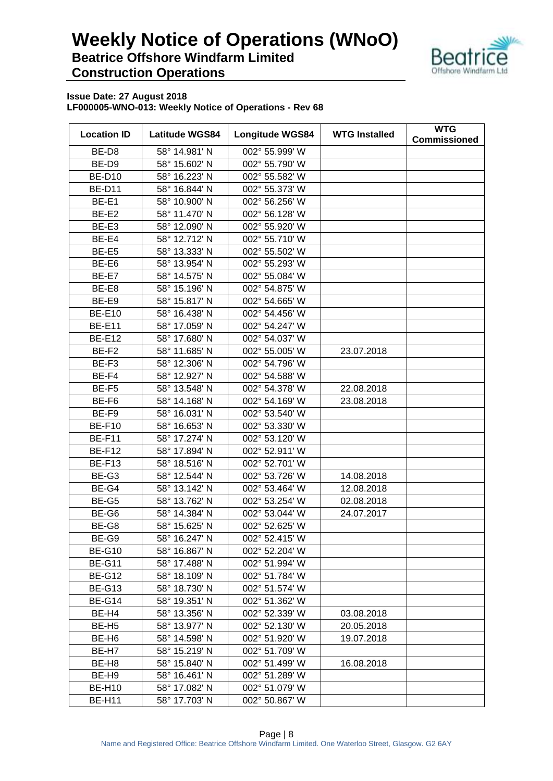

| <b>Location ID</b> | <b>Latitude WGS84</b> | <b>Longitude WGS84</b> | <b>WTG Installed</b> | <b>WTG</b><br><b>Commissioned</b> |
|--------------------|-----------------------|------------------------|----------------------|-----------------------------------|
| BE-D8              | 58° 14.981' N         | 002° 55.999' W         |                      |                                   |
| BE-D9              | 58° 15.602' N         | 002° 55.790' W         |                      |                                   |
| <b>BE-D10</b>      | 58° 16.223' N         | 002° 55.582' W         |                      |                                   |
| <b>BE-D11</b>      | 58° 16.844' N         | 002° 55.373' W         |                      |                                   |
| BE-E1              | 58° 10.900' N         | 002° 56.256' W         |                      |                                   |
| BE-E2              | 58° 11.470' N         | 002° 56.128' W         |                      |                                   |
| BE-E3              | 58° 12.090' N         | 002° 55.920' W         |                      |                                   |
| BE-E4              | 58° 12.712' N         | 002° 55.710' W         |                      |                                   |
| BE-E5              | 58° 13.333' N         | 002° 55.502' W         |                      |                                   |
| BE-E6              | 58° 13.954' N         | 002° 55.293' W         |                      |                                   |
| BE-E7              | 58° 14.575' N         | 002° 55.084' W         |                      |                                   |
| BE-E8              | 58° 15.196' N         | 002° 54.875' W         |                      |                                   |
| BE-E9              | 58° 15.817' N         | 002° 54.665' W         |                      |                                   |
| <b>BE-E10</b>      | 58° 16.438' N         | 002° 54.456' W         |                      |                                   |
| <b>BE-E11</b>      | 58° 17.059' N         | 002° 54.247' W         |                      |                                   |
| <b>BE-E12</b>      | 58° 17.680' N         | 002° 54.037' W         |                      |                                   |
| BE-F <sub>2</sub>  | 58° 11.685' N         | 002° 55.005' W         | 23.07.2018           |                                   |
| BE-F3              | 58° 12.306' N         | 002° 54.796' W         |                      |                                   |
| BE-F4              | 58° 12.927' N         | 002° 54.588' W         |                      |                                   |
| BE-F5              | 58° 13.548' N         | 002° 54.378' W         | 22.08.2018           |                                   |
| BE-F6              | 58° 14.168' N         | 002° 54.169' W         | 23.08.2018           |                                   |
| BE-F9              | 58° 16.031' N         | 002° 53.540' W         |                      |                                   |
| <b>BE-F10</b>      | 58° 16.653' N         | 002° 53.330' W         |                      |                                   |
| <b>BE-F11</b>      | 58° 17.274' N         | 002° 53.120' W         |                      |                                   |
| <b>BE-F12</b>      | 58° 17.894' N         | 002° 52.911' W         |                      |                                   |
| <b>BE-F13</b>      | 58° 18.516' N         | 002° 52.701' W         |                      |                                   |
| BE-G3              | 58° 12.544' N         | 002° 53.726' W         | 14.08.2018           |                                   |
| BE-G4              | 58° 13.142' N         | 002° 53.464' W         | 12.08.2018           |                                   |
| BE-G5              | 58° 13.762' N         | 002° 53.254' W         | 02.08.2018           |                                   |
| BE-G6              | 58° 14.384' N         | 002° 53.044' W         | 24.07.2017           |                                   |
| BE-G8              | 58° 15.625' N         | 002° 52.625' W         |                      |                                   |
| BE-G9              | 58° 16.247' N         | 002° 52.415' W         |                      |                                   |
| <b>BE-G10</b>      | 58° 16.867' N         | 002° 52.204' W         |                      |                                   |
| <b>BE-G11</b>      | 58° 17.488' N         | 002° 51.994' W         |                      |                                   |
| <b>BE-G12</b>      | 58° 18.109' N         | 002° 51.784' W         |                      |                                   |
| <b>BE-G13</b>      | 58° 18.730' N         | 002° 51.574' W         |                      |                                   |
| <b>BE-G14</b>      | 58° 19.351' N         | 002° 51.362' W         |                      |                                   |
| BE-H4              | 58° 13.356' N         | 002° 52.339' W         | 03.08.2018           |                                   |
| BE-H <sub>5</sub>  | 58° 13.977' N         | 002° 52.130' W         | 20.05.2018           |                                   |
| BE-H <sub>6</sub>  | 58° 14.598' N         | 002° 51.920' W         | 19.07.2018           |                                   |
| BE-H7              | 58° 15.219' N         | 002° 51.709' W         |                      |                                   |
| BE-H <sub>8</sub>  | 58° 15.840' N         | 002° 51.499' W         | 16.08.2018           |                                   |
| BE-H <sub>9</sub>  | 58° 16.461' N         | 002° 51.289' W         |                      |                                   |
| <b>BE-H10</b>      | 58° 17.082' N         | 002° 51.079' W         |                      |                                   |
| <b>BE-H11</b>      | 58° 17.703' N         | 002° 50.867' W         |                      |                                   |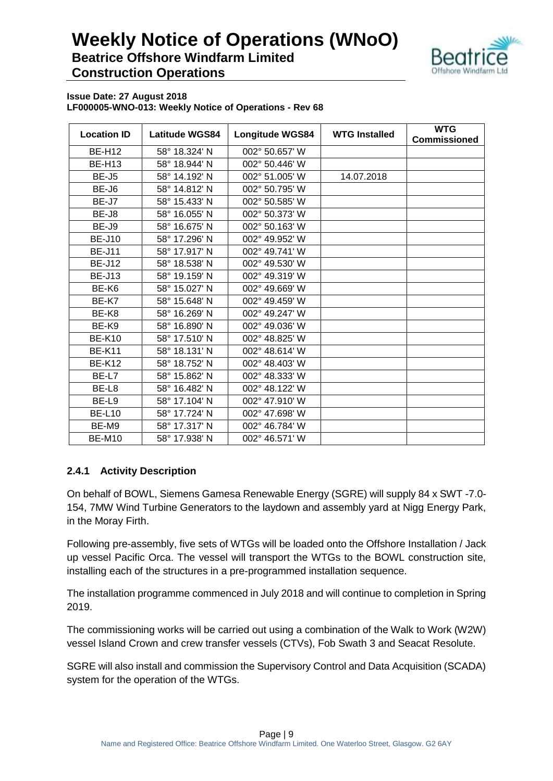

**Issue Date: 27 August 2018 LF000005-WNO-013: Weekly Notice of Operations - Rev 68**

| <b>Location ID</b> | <b>Latitude WGS84</b> | <b>Longitude WGS84</b> | <b>WTG Installed</b> | <b>WTG</b><br><b>Commissioned</b> |
|--------------------|-----------------------|------------------------|----------------------|-----------------------------------|
| <b>BE-H12</b>      | 58° 18.324' N         | 002° 50.657' W         |                      |                                   |
| <b>BE-H13</b>      | 58° 18.944' N         | 002° 50.446' W         |                      |                                   |
| BE-J <sub>5</sub>  | 58° 14.192' N         | 002° 51.005' W         | 14.07.2018           |                                   |
| BE-J6              | 58° 14.812' N         | 002° 50.795' W         |                      |                                   |
| BE-J7              | 58° 15.433' N         | 002° 50.585' W         |                      |                                   |
| BE-J8              | 58° 16.055' N         | 002° 50.373' W         |                      |                                   |
| BE-J9              | 58° 16.675' N         | 002° 50.163' W         |                      |                                   |
| <b>BE-J10</b>      | 58° 17.296' N         | 002° 49.952' W         |                      |                                   |
| <b>BE-J11</b>      | 58° 17.917' N         | 002° 49.741' W         |                      |                                   |
| <b>BE-J12</b>      | 58° 18.538' N         | 002° 49.530' W         |                      |                                   |
| <b>BE-J13</b>      | 58° 19.159' N         | 002° 49.319' W         |                      |                                   |
| BE-K6              | 58° 15.027' N         | 002° 49.669' W         |                      |                                   |
| BE-K7              | 58° 15.648' N         | 002° 49.459' W         |                      |                                   |
| BE-K8              | 58° 16.269' N         | 002° 49.247' W         |                      |                                   |
| BE-K9              | 58° 16.890' N         | 002° 49.036' W         |                      |                                   |
| <b>BE-K10</b>      | 58° 17.510' N         | 002° 48.825' W         |                      |                                   |
| <b>BE-K11</b>      | 58° 18.131' N         | 002° 48.614' W         |                      |                                   |
| <b>BE-K12</b>      | 58° 18.752' N         | 002° 48.403' W         |                      |                                   |
| BE-L7              | 58° 15.862' N         | 002° 48.333' W         |                      |                                   |
| BE-L8              | 58° 16.482' N         | 002° 48.122' W         |                      |                                   |
| BE-L9              | 58° 17.104' N         | 002° 47.910' W         |                      |                                   |
| <b>BE-L10</b>      | 58° 17.724' N         | 002° 47.698' W         |                      |                                   |
| BE-M9              | 58° 17.317' N         | 002° 46.784' W         |                      |                                   |
| <b>BE-M10</b>      | 58° 17.938' N         | 002° 46.571' W         |                      |                                   |

### **2.4.1 Activity Description**

On behalf of BOWL, Siemens Gamesa Renewable Energy (SGRE) will supply 84 x SWT -7.0- 154, 7MW Wind Turbine Generators to the laydown and assembly yard at Nigg Energy Park, in the Moray Firth.

Following pre-assembly, five sets of WTGs will be loaded onto the Offshore Installation / Jack up vessel Pacific Orca. The vessel will transport the WTGs to the BOWL construction site, installing each of the structures in a pre-programmed installation sequence.

The installation programme commenced in July 2018 and will continue to completion in Spring 2019.

The commissioning works will be carried out using a combination of the Walk to Work (W2W) vessel Island Crown and crew transfer vessels (CTVs), Fob Swath 3 and Seacat Resolute.

SGRE will also install and commission the Supervisory Control and Data Acquisition (SCADA) system for the operation of the WTGs.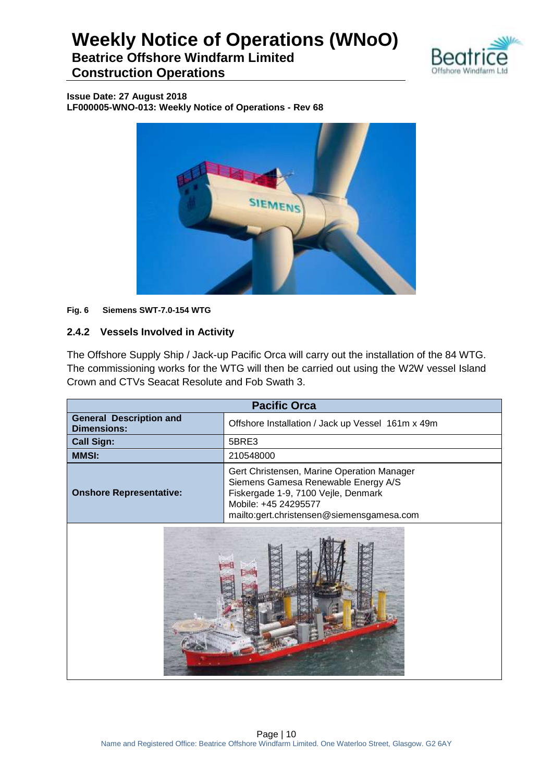

**Beatrice Offshore Windfarm Limited Construction Operations**

**Issue Date: 27 August 2018 LF000005-WNO-013: Weekly Notice of Operations - Rev 68**



### **Fig. 6 Siemens SWT-7.0-154 WTG**

### **2.4.2 Vessels Involved in Activity**

The Offshore Supply Ship / Jack-up Pacific Orca will carry out the installation of the 84 WTG. The commissioning works for the WTG will then be carried out using the W2W vessel Island Crown and CTVs Seacat Resolute and Fob Swath 3.

| <b>Pacific Orca</b>                                                                                                                                                                                                             |           |  |
|---------------------------------------------------------------------------------------------------------------------------------------------------------------------------------------------------------------------------------|-----------|--|
| <b>General Description and</b><br>Offshore Installation / Jack up Vessel 161m x 49m<br><b>Dimensions:</b>                                                                                                                       |           |  |
| <b>Call Sign:</b><br>5BRE3                                                                                                                                                                                                      |           |  |
| <b>MMSI:</b>                                                                                                                                                                                                                    | 210548000 |  |
| Gert Christensen, Marine Operation Manager<br>Siemens Gamesa Renewable Energy A/S<br>Fiskergade 1-9, 7100 Vejle, Denmark<br><b>Onshore Representative:</b><br>Mobile: +45 24295577<br>mailto:gert.christensen@siemensgamesa.com |           |  |
|                                                                                                                                                                                                                                 |           |  |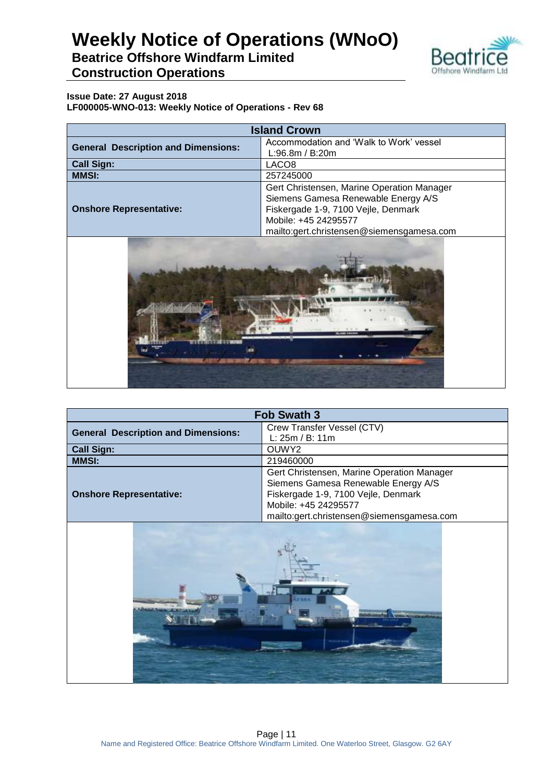

### **Beatrice Offshore Windfarm Limited Construction Operations**

| <b>Island Crown</b>                        |                                                                                                                                                                                               |  |
|--------------------------------------------|-----------------------------------------------------------------------------------------------------------------------------------------------------------------------------------------------|--|
| <b>General Description and Dimensions:</b> | Accommodation and 'Walk to Work' vessel<br>L:96.8m / B:20m                                                                                                                                    |  |
| <b>Call Sign:</b>                          | LACO <sub>8</sub>                                                                                                                                                                             |  |
| <b>MMSI:</b>                               | 257245000                                                                                                                                                                                     |  |
| <b>Onshore Representative:</b>             | Gert Christensen, Marine Operation Manager<br>Siemens Gamesa Renewable Energy A/S<br>Fiskergade 1-9, 7100 Vejle, Denmark<br>Mobile: +45 24295577<br>mailto:gert.christensen@siemensgamesa.com |  |



| <b>Fob Swath 3</b>                         |                                            |
|--------------------------------------------|--------------------------------------------|
| <b>General Description and Dimensions:</b> | Crew Transfer Vessel (CTV)                 |
|                                            | L: 25m / B: 11m                            |
| <b>Call Sign:</b>                          | OUWY2                                      |
| <b>MMSI:</b>                               | 219460000                                  |
|                                            | Gert Christensen, Marine Operation Manager |
|                                            | Siemens Gamesa Renewable Energy A/S        |
| <b>Onshore Representative:</b>             | Fiskergade 1-9, 7100 Vejle, Denmark        |
|                                            | Mobile: +45 24295577                       |
|                                            | mailto:gert.christensen@siemensgamesa.com  |
|                                            |                                            |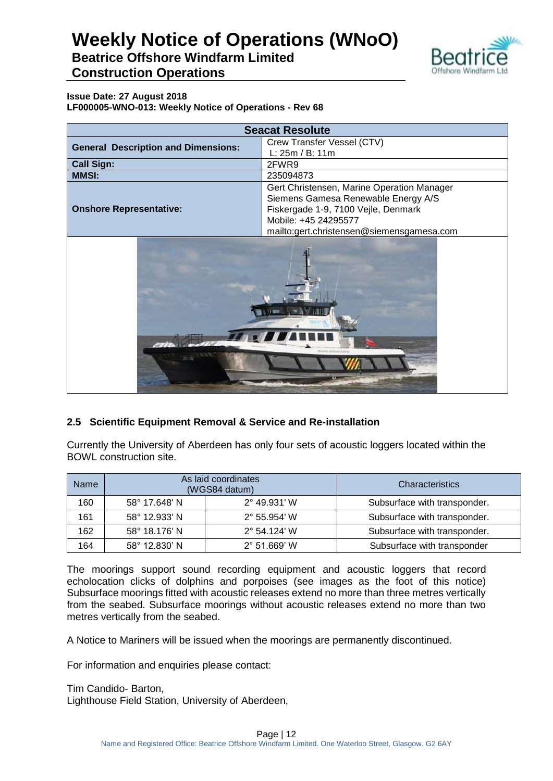

**Beatrice Offshore Windfarm Limited Construction Operations**

**Issue Date: 27 August 2018 LF000005-WNO-013: Weekly Notice of Operations - Rev 68**

| <b>Seacat Resolute</b>                     |                                            |
|--------------------------------------------|--------------------------------------------|
| <b>General Description and Dimensions:</b> | Crew Transfer Vessel (CTV)                 |
|                                            | L: 25m / B: 11m                            |
| <b>Call Sign:</b>                          | 2FWR9                                      |
| <b>MMSI:</b>                               | 235094873                                  |
|                                            | Gert Christensen, Marine Operation Manager |
|                                            | Siemens Gamesa Renewable Energy A/S        |
| <b>Onshore Representative:</b>             | Fiskergade 1-9, 7100 Vejle, Denmark        |
|                                            | Mobile: +45 24295577                       |
|                                            | mailto:gert.christensen@siemensgamesa.com  |
|                                            |                                            |

### **2.5 Scientific Equipment Removal & Service and Re-installation**

Currently the University of Aberdeen has only four sets of acoustic loggers located within the BOWL construction site.

| <b>Name</b> |               | As laid coordinates<br>(WGS84 datum) | Characteristics              |
|-------------|---------------|--------------------------------------|------------------------------|
| 160         | 58° 17.648' N | $2^{\circ}$ 49.931' W                | Subsurface with transponder. |
| 161         | 58° 12.933' N | $2^{\circ}$ 55.954' W                | Subsurface with transponder. |
| 162         | 58° 18.176' N | $2^{\circ}$ 54.124' W                | Subsurface with transponder. |
| 164         | 58° 12.830' N | $2^{\circ}$ 51.669' W                | Subsurface with transponder  |

The moorings support sound recording equipment and acoustic loggers that record echolocation clicks of dolphins and porpoises (see images as the foot of this notice) Subsurface moorings fitted with acoustic releases extend no more than three metres vertically from the seabed. Subsurface moorings without acoustic releases extend no more than two metres vertically from the seabed.

A Notice to Mariners will be issued when the moorings are permanently discontinued.

For information and enquiries please contact:

Tim Candido- Barton, Lighthouse Field Station, University of Aberdeen,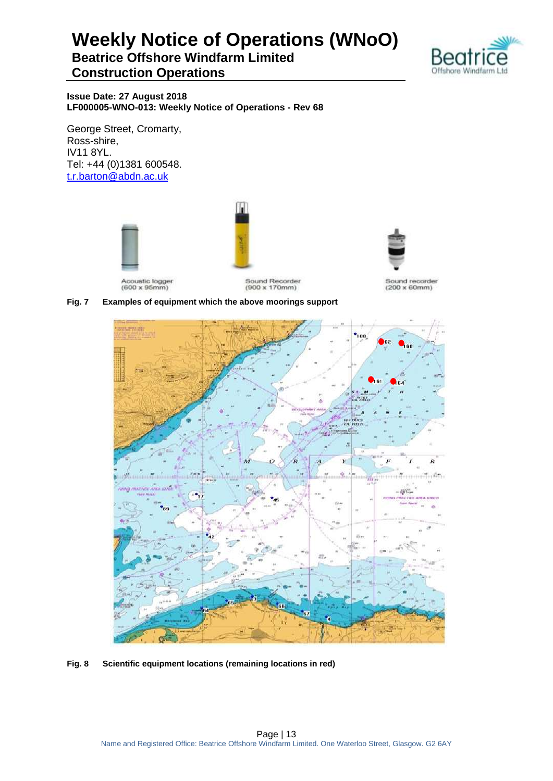**Beatrice Offshore Windfarm Limited Construction Operations**



**Issue Date: 27 August 2018 LF000005-WNO-013: Weekly Notice of Operations - Rev 68**

George Street, Cromarty, Ross-shire, IV11 8YL. Tel: +44 (0)1381 600548. [t.r.barton@abdn.ac.uk](mailto:t.r.barton@abdn.ac.uk)

Acoustic logger<br>(600 x 95mm)



Sound Recorder  $(900 \times 170$ mm)



Sound recorder  $(200 \times 60$ mm)

#### **Fig. 7 Examples of equipment which the above moorings support**



**Fig. 8 Scientific equipment locations (remaining locations in red)**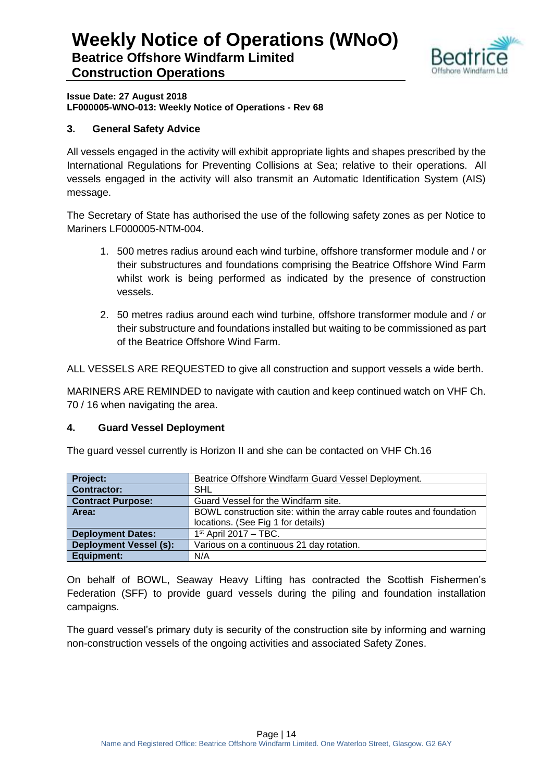

**Issue Date: 27 August 2018 LF000005-WNO-013: Weekly Notice of Operations - Rev 68**

### **3. General Safety Advice**

All vessels engaged in the activity will exhibit appropriate lights and shapes prescribed by the International Regulations for Preventing Collisions at Sea; relative to their operations. All vessels engaged in the activity will also transmit an Automatic Identification System (AIS) message.

The Secretary of State has authorised the use of the following safety zones as per Notice to Mariners LF000005-NTM-004.

- 1. 500 metres radius around each wind turbine, offshore transformer module and / or their substructures and foundations comprising the Beatrice Offshore Wind Farm whilst work is being performed as indicated by the presence of construction vessels.
- 2. 50 metres radius around each wind turbine, offshore transformer module and / or their substructure and foundations installed but waiting to be commissioned as part of the Beatrice Offshore Wind Farm.

ALL VESSELS ARE REQUESTED to give all construction and support vessels a wide berth.

MARINERS ARE REMINDED to navigate with caution and keep continued watch on VHF Ch. 70 / 16 when navigating the area.

### **4. Guard Vessel Deployment**

The guard vessel currently is Horizon II and she can be contacted on VHF Ch.16

| <b>Project:</b>               | Beatrice Offshore Windfarm Guard Vessel Deployment.                  |
|-------------------------------|----------------------------------------------------------------------|
| Contractor:                   | <b>SHL</b>                                                           |
| <b>Contract Purpose:</b>      | Guard Vessel for the Windfarm site.                                  |
| Area:                         | BOWL construction site: within the array cable routes and foundation |
|                               | locations. (See Fig 1 for details)                                   |
| <b>Deployment Dates:</b>      | $1st$ April 2017 – TBC.                                              |
| <b>Deployment Vessel (s):</b> | Various on a continuous 21 day rotation.                             |
| <b>Equipment:</b>             | N/A                                                                  |

On behalf of BOWL, Seaway Heavy Lifting has contracted the Scottish Fishermen's Federation (SFF) to provide guard vessels during the piling and foundation installation campaigns.

The guard vessel's primary duty is security of the construction site by informing and warning non-construction vessels of the ongoing activities and associated Safety Zones.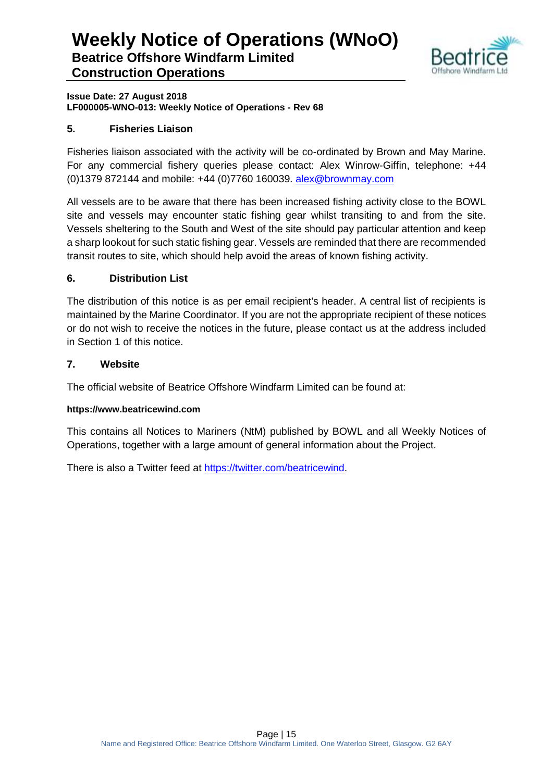

**Issue Date: 27 August 2018 LF000005-WNO-013: Weekly Notice of Operations - Rev 68**

### **5. Fisheries Liaison**

Fisheries liaison associated with the activity will be co-ordinated by Brown and May Marine. For any commercial fishery queries please contact: Alex Winrow-Giffin, telephone: +44 (0)1379 872144 and mobile: +44 (0)7760 160039. [alex@brownmay.com](mailto:alex@brownmay.com)

All vessels are to be aware that there has been increased fishing activity close to the BOWL site and vessels may encounter static fishing gear whilst transiting to and from the site. Vessels sheltering to the South and West of the site should pay particular attention and keep a sharp lookout for such static fishing gear. Vessels are reminded that there are recommended transit routes to site, which should help avoid the areas of known fishing activity.

### **6. Distribution List**

The distribution of this notice is as per email recipient's header. A central list of recipients is maintained by the Marine Coordinator. If you are not the appropriate recipient of these notices or do not wish to receive the notices in the future, please contact us at the address included in Section 1 of this notice.

### **7. Website**

The official website of Beatrice Offshore Windfarm Limited can be found at:

### **https://www.beatricewind.com**

This contains all Notices to Mariners (NtM) published by BOWL and all Weekly Notices of Operations, together with a large amount of general information about the Project.

There is also a Twitter feed at [https://twitter.com/beatricewind.](https://twitter.com/beatricewind)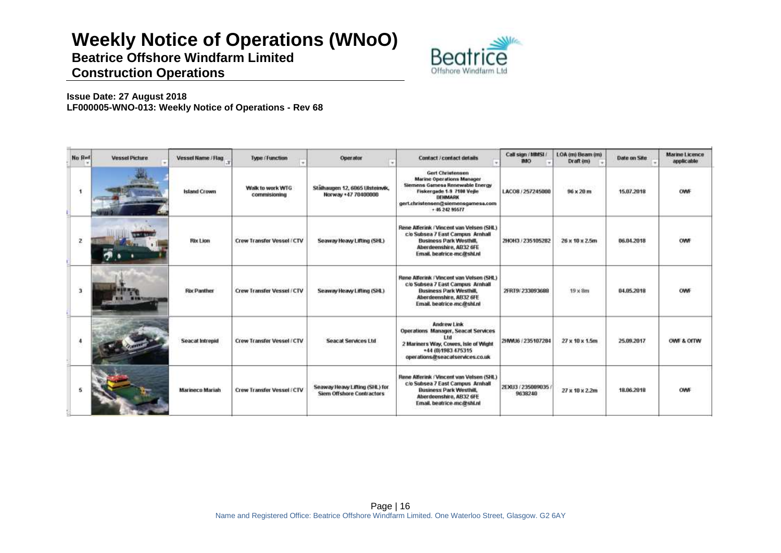**Beatrice Offshore Windfarm Limited Construction Operations**



| No Ref               | <b>Vessel Picture</b> | Vessel Name / Flag  | <b>Type / Function</b><br>$\cdot$ | Operator                                                           | Contact / contact details                                                                                                                                                                      | Call sign / MMSL/<br><b>IMO</b> | LOA (m) Beam (m)<br>Draft (m) | Date on Site | <b>Marine Licence</b><br>applicable |
|----------------------|-----------------------|---------------------|-----------------------------------|--------------------------------------------------------------------|------------------------------------------------------------------------------------------------------------------------------------------------------------------------------------------------|---------------------------------|-------------------------------|--------------|-------------------------------------|
| $\ddot{\phantom{1}}$ |                       | <b>Island Crown</b> | Walk to work WTG<br>commisioning  | Stälhaugen 12, 6065 Ulsteinvik,<br>Norway +47 70400000             | <b>Gert Christensen</b><br><b>Marine Operations Manager</b><br>Siemens Gamesa Renewable Energy<br>Fiskergade 1-9 7100 Veile<br>DEHMARK<br>gert.christensen@siemensgamesa.com<br>+ 46 242 95677 | LACOS / 257245000               | $96 \times 20$ m              | 15.07.2018   | <b>OWNF</b>                         |
| $\mathbf{z}$         |                       | <b>Rix Lion</b>     | Crew Transfer Vessel / CTV        | Seaway Heavy Lifting (SHL)                                         | Rene Alferink / Vincent van Velsen (SHL)<br>c/o Subsea 7 East Campus Arnhall<br><b>Business Park Westhill,</b><br>Aberdeenshire, AB32 6FE<br>Email, beatrice-mc@shl.nl                         | ZHOH3 / 235105282               | 26 x 10 x 2.5m                | 06.04.2018   | OWF                                 |
| 3                    |                       | <b>Rix Panther</b>  | <b>Crew Transfer Vessel / CTV</b> | Seaway Heavy Lifting (SHL)                                         | Rene Alferink / Vincent van Velsen (SHL)<br>cio Subsea 7 East Campus Arnhall<br><b>Business Park Westhill</b><br>Aberdeenshire, AB32 6FE<br>Email. beatrice-mc@shl.nl                          | 2FRT9/233093688                 | $19 \times 8m$                | 04.05.2018   | OWF                                 |
|                      |                       | Seacat Intrepid     | Crew Transfer Vessel / CTV        | <b>Seacat Services Ltd</b>                                         | Andrew Link<br>Operations Manager, Seacat Services<br>t til<br>2 Mariners Way, Cowes, Isle of Wight<br>+44 (0)1983 475315<br>operations@seacatservices.co.uk                                   | 2HMU6 / 235107284               | 27 x 10 x 1.5m                | 25.09.2017   | OWE & OITW                          |
|                      |                       | Marineco Mariah     | Crew Transfer Vessel / CTV        | Seaway Heavy Lifting (SHL) for<br><b>Siem Offshore Contractors</b> | Rene Alferink / Vincent van Velsen (SHL)<br>c/o Subsea 7 East Campus Arnhall<br><b>Business Park Westhill</b><br>Aberdeenshire, AB32 6FE<br>Email, beatrice-mc@shl.nl                          | 2EXU3 / 235009035<br>9638240    | 27 x 10 x 2.2m                | 18.06.2018   | <b>OWNE</b>                         |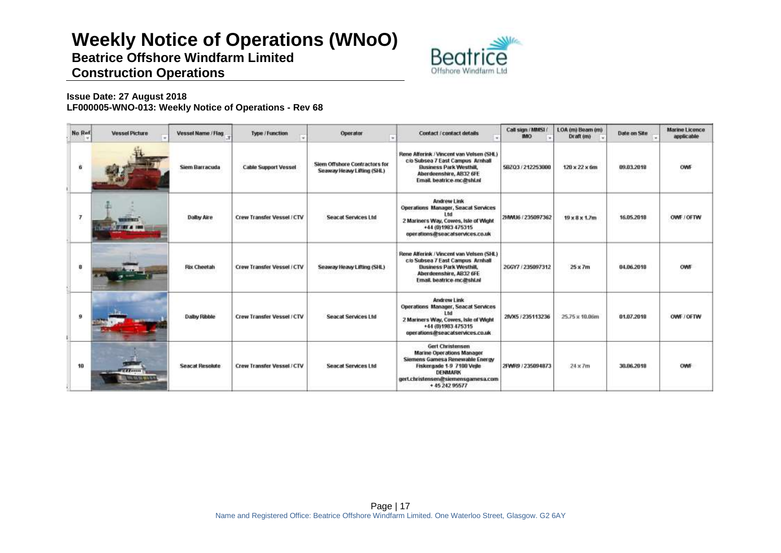**Beatrice Offshore Windfarm Limited Construction Operations**



| No Ref         | <b>Vessel Picture</b>                      | Vessel Name / Flag.    | Type / Function                   | Operator<br>٠                                               | Contact / contact details                                                                                                                                                              | Call sign / MMSL/<br><b>IMO</b> | LOA (m) Beam (m)<br>Draft im) | Date on Site | <b>Marine Licence</b><br>applicable |
|----------------|--------------------------------------------|------------------------|-----------------------------------|-------------------------------------------------------------|----------------------------------------------------------------------------------------------------------------------------------------------------------------------------------------|---------------------------------|-------------------------------|--------------|-------------------------------------|
| 6              |                                            | Siem Barracuda         | <b>Cable Support Vessel</b>       | Siem Offshore Contractors for<br>Seaway Heavy Lifting (SHL) | Rene Alferink / Vincent van Velsen (SHL)<br>cio Subsea 7 East Campus Arnhalt<br><b>Business Park Westhill,</b><br>Aberdeenshire, AB32 6FE<br>Email. beatrice-mc@shl.nl                 | 58203/212253000                 | $120 \times 22 \times 6m$     | 09.03.2018   | OWF                                 |
| $\overline{7}$ |                                            | <b>Dalby Aire</b>      | <b>Crew Transfer Vessel / CTV</b> | <b>Seacat Services Ltd</b>                                  | Andrew Link<br><b>Operations Manager, Seacat Services</b><br>l tri<br>2 Mariners Way, Cowes, Isle of Wight<br>+44 (0)1983 475315<br>operations@seacatservices.co.uk                    | 2HMU6 / 235097362               | $19 \times 8 \times 1.7m$     | 16.05.2018   | OWF / OFTW                          |
| 8              |                                            | <b>Rix Cheetah</b>     | Crew Transfer Vessel / CTV        | Seaway Heavy Lifting (SHL)                                  | Rene Alferink / Vincent van Velsen (SHL)<br>c/o Subsea 7 East Campus Arnhalt<br><b>Business Park Westhill,</b><br>Aberdeenshire, AB32 6FE<br>Email. beatrice-mc@shl.nl                 | 266Y7 / 235097312               | $25 \times 7m$                | 04.06.2018   | OWF                                 |
| 9              |                                            | Dalby Ribble           | Crew Transfer Vessel / CTV        | <b>Seacat Services Ltd</b>                                  | <b>Andrew Link</b><br>Operations Manager, Seacat Services<br>11d<br>2 Mariners Way, Cowes, Isle of Wight<br>+44 (0)1983 475315<br>operations@seacatservices.co.uk                      | 2NX5 / 235113236                | 25.75 x 10.06m                | 81.07.2018   | OWE / OFTW                          |
| 10             | <b>TELEVISION</b><br><b>CLOSE RESIDENT</b> | <b>Seacat Resolute</b> | <b>Crew Transfer Vessel / CTV</b> | <b>Seacat Services Ltd</b>                                  | Gert Christensen<br>Marine Operations Manager<br>Siemens Gamesa Renewable Eneroy<br>Fiskergade 1-9 7100 Vejle<br><b>DENMARK</b><br>gert.christensen@siemensgamesa.com<br>+45 242 95577 | 2FWR9 / 235094873               | $24 \times 7m$                | 30.06.2018   | <b>OWF</b>                          |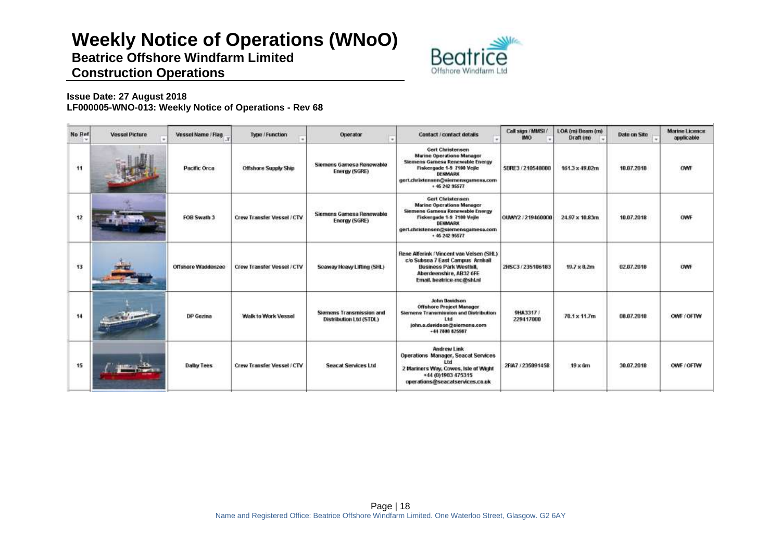**Beatrice Offshore Windfarm Limited Construction Operations**



| No Ref | <b>Vessel Picture</b> | Vessel Name / Flag  | Type / Function             | Operator                                            | Contact / contact details                                                                                                                                                                 | Call sign (MMSL)<br><b>IMO</b> | LOA (m) Beam (m)<br>Draft (m) | Date on Site | <b>Marine Licence</b><br>applicable |
|--------|-----------------------|---------------------|-----------------------------|-----------------------------------------------------|-------------------------------------------------------------------------------------------------------------------------------------------------------------------------------------------|--------------------------------|-------------------------------|--------------|-------------------------------------|
| 11     |                       | <b>Pacific Orca</b> | <b>Offshore Supply Ship</b> | Siemens Gamesa Renewable<br>Energy (SGRE)           | Gert Christensen<br><b>Marine Operations Manager</b><br>Siemens Gamesa Renewable Energy<br>Fiskergade 1-9 7100 Veile<br>DENMARK<br>gert.christensen@siemensgamesa.com<br>+ 45 242 95577   | 5BRE3 / 210548000              | 161.3 x 49.02m                | 10.07.2018   | OWE                                 |
| 12     |                       | FOB Swath 3         | Crew Transfer Vessel / CTV  | Siemens Gamesa Renewable<br>Energy (SGRE)           | <b>Gert Christensen</b><br>Marine Operations Manager<br>Siemens Gamesa Renewable Energy<br>Fiskergade 1-9 7100 Vejle<br>DENMARK<br>gert.christensen@siemensgamesa.com<br>$+ 45.242.95577$ | OUWY2 / 219460000              | 24.97 x 10.83m                | 10.07.2018   | OWF                                 |
| 13     |                       | Offshore Waddenzee  | Crew Transfer Vessel / CTV  | Seaway Heavy Lifting (SHL)                          | Rene Alferink / Vincent van Velsen (SHL)<br>c/o Subsea 7 East Campus Arnhall<br><b>Business Park Westhill,</b><br>Aberdeenshire, AB32 6FE<br>Email, beatrice-mc@shl.nl                    | 2HSC3/235106183                | 19.7 x 8.2m                   | 02.07.2018   | OWF                                 |
| 14     |                       | DP Gezina           | Walk to Work Vessel         | Siemens Transmission and<br>Distribution Ltd (STDL) | John Davidson<br><b>Offshore Project Manager</b><br>Siemens Transmission and Distribution<br>Ltd<br>john.s.davidson@siemens.com<br>$+44$ 7808 825987                                      | 9HA3317 /<br>229417000         | 70.1 x 11.7m                  | 08.07.2018   | OWE (OFTW)                          |
| 15     | دك                    | <b>Dalby Tees</b>   | Crew Transfer Vessel / CTV  | <b>Seacat Services Ltd</b>                          | Andrew Link<br>Operations Manager, Seacat Services<br>1 fet<br>2 Mariners Way, Cowes, Isle of Wight<br>*44 (0) 1983 475315<br>operations@seacatservices.co.uk                             | 2FIA7 / 235091458              | $19 \times 6m$                | 30.07.2018   | OWE / OFTW                          |